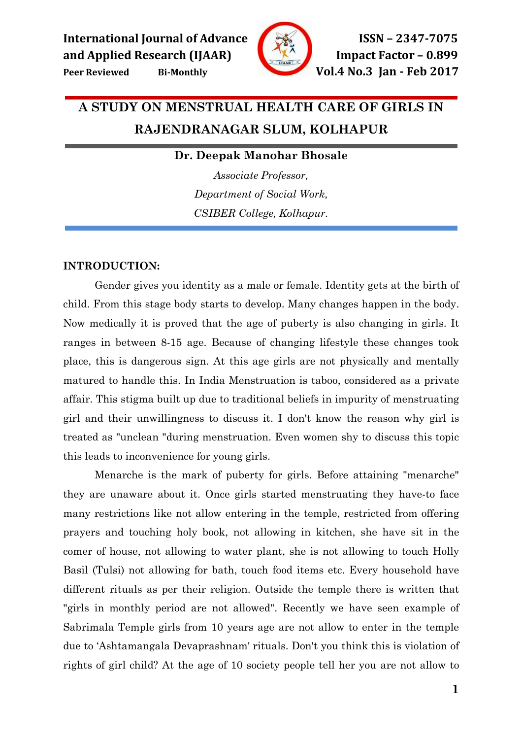

# A STUDY ON MENSTRUAL HEALTH CARE OF GIRLS IN RAJENDRANAGAR SLUM, KOLHAPUR

# Dr. Deepak Manohar Bhosale

Associate Professor, Department of Social Work, CSIBER College, Kolhapur.

### INTRODUCTION:

Gender gives you identity as a male or female. Identity gets at the birth of child. From this stage body starts to develop. Many changes happen in the body. Now medically it is proved that the age of puberty is also changing in girls. It ranges in between 8-15 age. Because of changing lifestyle these changes took place, this is dangerous sign. At this age girls are not physically and mentally matured to handle this. In India Menstruation is taboo, considered as a private affair. This stigma built up due to traditional beliefs in impurity of menstruating girl and their unwillingness to discuss it. I don't know the reason why girl is treated as "unclean "during menstruation. Even women shy to discuss this topic this leads to inconvenience for young girls.

Menarche is the mark of puberty for girls. Before attaining "menarche" they are unaware about it. Once girls started menstruating they have-to face many restrictions like not allow entering in the temple, restricted from offering prayers and touching holy book, not allowing in kitchen, she have sit in the comer of house, not allowing to water plant, she is not allowing to touch Holly Basil (Tulsi) not allowing for bath, touch food items etc. Every household have different rituals as per their religion. Outside the temple there is written that "girls in monthly period are not allowed". Recently we have seen example of Sabrimala Temple girls from 10 years age are not allow to enter in the temple due to 'Ashtamangala Devaprashnam' rituals. Don't you think this is violation of rights of girl child? At the age of 10 society people tell her you are not allow to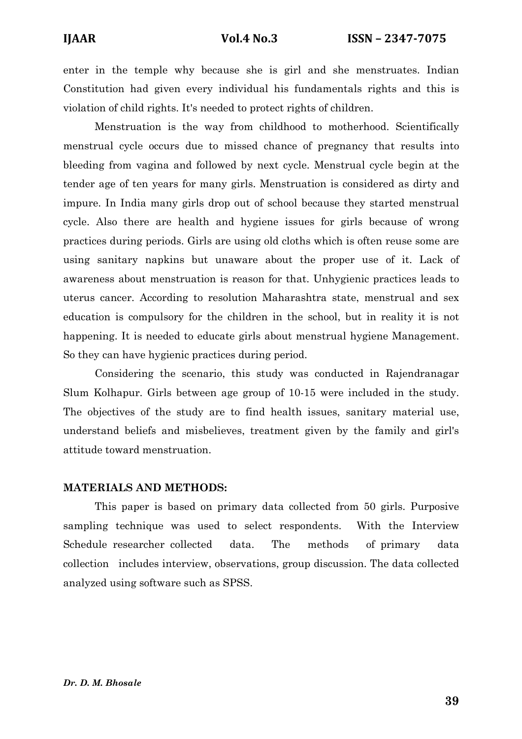enter in the temple why because she is girl and she menstruates. Indian Constitution had given every individual his fundamentals rights and this is violation of child rights. It's needed to protect rights of children.

Menstruation is the way from childhood to motherhood. Scientifically menstrual cycle occurs due to missed chance of pregnancy that results into bleeding from vagina and followed by next cycle. Menstrual cycle begin at the tender age of ten years for many girls. Menstruation is considered as dirty and impure. In India many girls drop out of school because they started menstrual cycle. Also there are health and hygiene issues for girls because of wrong practices during periods. Girls are using old cloths which is often reuse some are using sanitary napkins but unaware about the proper use of it. Lack of awareness about menstruation is reason for that. Unhygienic practices leads to uterus cancer. According to resolution Maharashtra state, menstrual and sex education is compulsory for the children in the school, but in reality it is not happening. It is needed to educate girls about menstrual hygiene Management. So they can have hygienic practices during period.

Considering the scenario, this study was conducted in Rajendranagar Slum Kolhapur. Girls between age group of 10-15 were included in the study. The objectives of the study are to find health issues, sanitary material use, understand beliefs and misbelieves, treatment given by the family and girl's attitude toward menstruation.

#### MATERIALS AND METHODS:

This paper is based on primary data collected from 50 girls. Purposive sampling technique was used to select respondents. With the Interview Schedule researcher collected data. The methods of primary data collection includes interview, observations, group discussion. The data collected analyzed using software such as SPSS.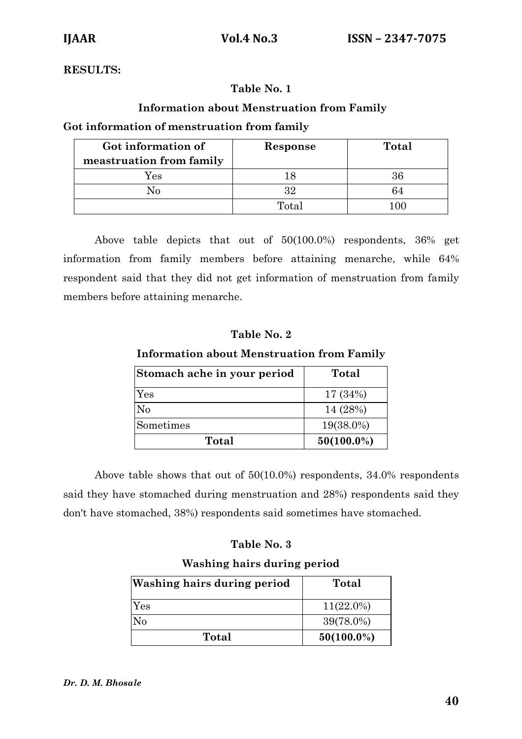# RESULTS:

# Table No. 1

# Information about Menstruation from Family

# Got information of menstruation from family

| Got information of       | Response | Total |
|--------------------------|----------|-------|
| meastruation from family |          |       |
| Yes                      |          | 36    |
|                          | 32       | 64    |
|                          | Total    | LOC   |

Above table depicts that out of 50(100.0%) respondents, 36% get information from family members before attaining menarche, while 64% respondent said that they did not get information of menstruation from family members before attaining menarche.

# Table No. 2

### Information about Menstruation from Family

| Stomach ache in your period | Total         |
|-----------------------------|---------------|
| Yes                         | 17 (34%)      |
| No                          | 14 (28%)      |
| Sometimes                   | 19(38.0%)     |
| Total                       | $50(100.0\%)$ |

Above table shows that out of 50(10.0%) respondents, 34.0% respondents said they have stomached during menstruation and 28%) respondents said they don't have stomached, 38%) respondents said sometimes have stomached.

# Table No. 3

### Washing hairs during period

| <b>Washing hairs during period</b> | Total         |
|------------------------------------|---------------|
| Yes                                | $11(22.0\%)$  |
| Nο                                 | 39(78.0%)     |
| <b>Total</b>                       | $50(100.0\%)$ |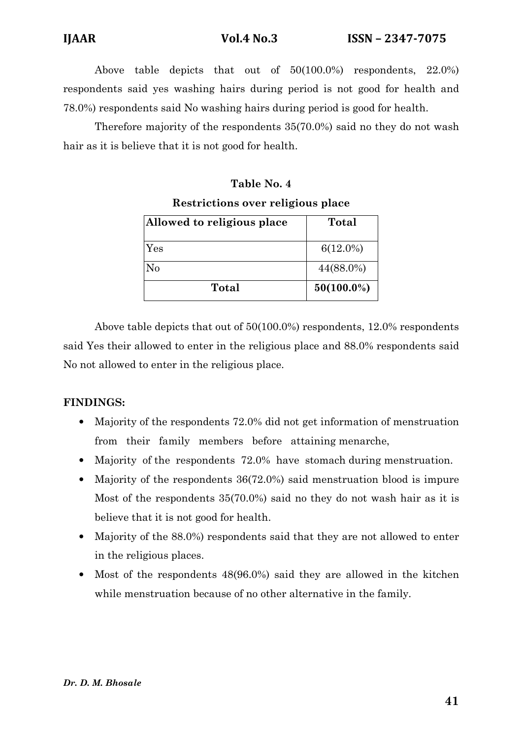Above table depicts that out of 50(100.0%) respondents, 22.0%) respondents said yes washing hairs during period is not good for health and 78.0%) respondents said No washing hairs during period is good for health.

Therefore majority of the respondents 35(70.0%) said no they do not wash hair as it is believe that it is not good for health.

# Table No. 4 Restrictions over religious place

| Allowed to religious place | Total         |
|----------------------------|---------------|
| Yes                        | $6(12.0\%)$   |
| No                         | 44(88.0%)     |
| Total                      | $50(100.0\%)$ |

Above table depicts that out of 50(100.0%) respondents, 12.0% respondents said Yes their allowed to enter in the religious place and 88.0% respondents said No not allowed to enter in the religious place.

# FINDINGS:

- Majority of the respondents 72.0% did not get information of menstruation from their family members before attaining menarche,
- Majority of the respondents 72.0% have stomach during menstruation.
- Majority of the respondents 36(72.0%) said menstruation blood is impure Most of the respondents 35(70.0%) said no they do not wash hair as it is believe that it is not good for health.
- Majority of the 88.0%) respondents said that they are not allowed to enter in the religious places.
- Most of the respondents 48(96.0%) said they are allowed in the kitchen while menstruation because of no other alternative in the family.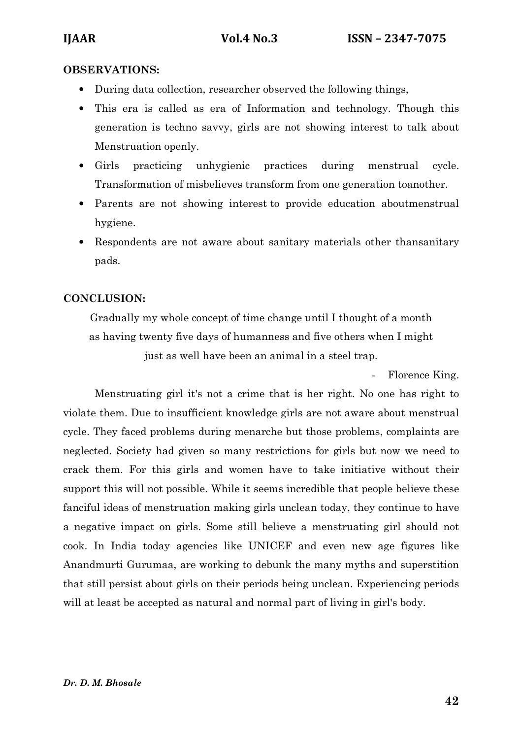### OBSERVATIONS:

- During data collection, researcher observed the following things,
- This era is called as era of Information and technology. Though this generation is techno savvy, girls are not showing interest to talk about Menstruation openly.
- Girls practicing unhygienic practices during menstrual cycle. Transformation of misbelieves transform from one generation toanother.
- Parents are not showing interest to provide education aboutmenstrual hygiene.
- Respondents are not aware about sanitary materials other thansanitary pads.

# CONCLUSION:

Gradually my whole concept of time change until I thought of a month as having twenty five days of humanness and five others when I might just as well have been an animal in a steel trap.

Florence King.

Menstruating girl it's not a crime that is her right. No one has right to violate them. Due to insufficient knowledge girls are not aware about menstrual cycle. They faced problems during menarche but those problems, complaints are neglected. Society had given so many restrictions for girls but now we need to crack them. For this girls and women have to take initiative without their support this will not possible. While it seems incredible that people believe these fanciful ideas of menstruation making girls unclean today, they continue to have a negative impact on girls. Some still believe a menstruating girl should not cook. In India today agencies like UNICEF and even new age figures like Anandmurti Gurumaa, are working to debunk the many myths and superstition that still persist about girls on their periods being unclean. Experiencing periods will at least be accepted as natural and normal part of living in girl's body.